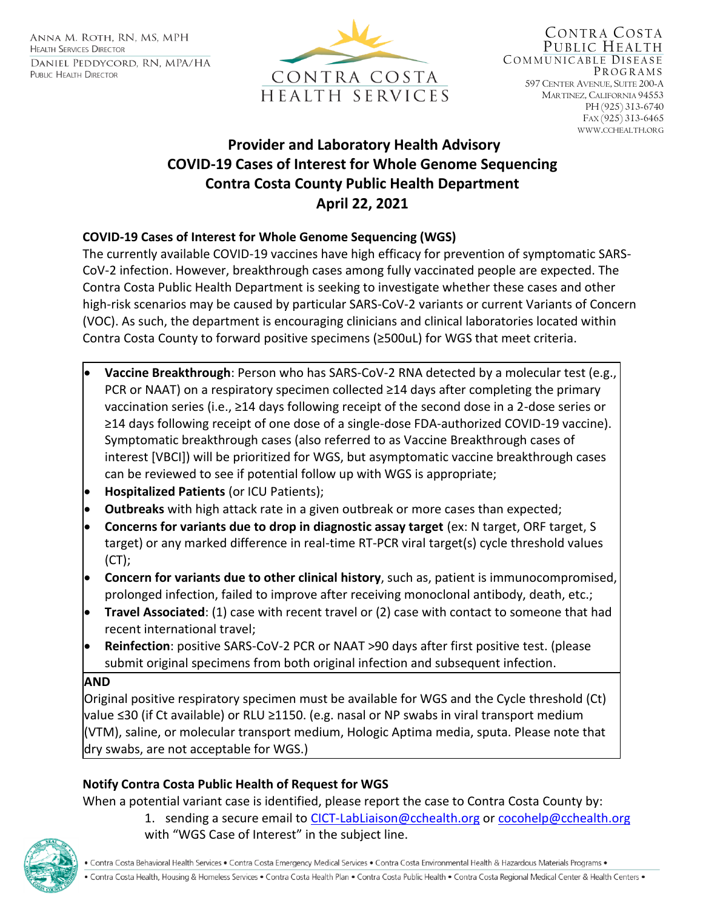ANNA M. ROTH, RN, MS, MPH **HEALTH SERVICES DIRECTOR** DANIEL PEDDYCORD, RN, MPA/HA PUBLIC HEALTH DIRECTOR



# **Provider and Laboratory Health Advisory COVID-19 Cases of Interest for Whole Genome Sequencing Contra Costa County Public Health Department April 22, 2021**

# **COVID-19 Cases of Interest for Whole Genome Sequencing (WGS)**

The currently available COVID-19 vaccines have high efficacy for prevention of symptomatic SARS-CoV-2 infection. However, breakthrough cases among fully vaccinated people are expected. The Contra Costa Public Health Department is seeking to investigate whether these cases and other high-risk scenarios may be caused by particular SARS-CoV-2 variants or current Variants of Concern (VOC). As such, the department is encouraging clinicians and clinical laboratories located within Contra Costa County to forward positive specimens (≥500uL) for WGS that meet criteria.

- **Vaccine Breakthrough**: Person who has SARS-CoV-2 RNA detected by a molecular test (e.g., PCR or NAAT) on a respiratory specimen collected ≥14 days after completing the primary vaccination series (i.e., ≥14 days following receipt of the second dose in a 2-dose series or ≥14 days following receipt of one dose of a single-dose FDA-authorized COVID-19 vaccine). Symptomatic breakthrough cases (also referred to as Vaccine Breakthrough cases of interest [VBCI]) will be prioritized for WGS, but asymptomatic vaccine breakthrough cases can be reviewed to see if potential follow up with WGS is appropriate;
- **Hospitalized Patients** (or ICU Patients);
- **Outbreaks** with high attack rate in a given outbreak or more cases than expected;
- **Concerns for variants due to drop in diagnostic assay target** (ex: N target, ORF target, S target) or any marked difference in real-time RT-PCR viral target(s) cycle threshold values (CT);
- **Concern for variants due to other clinical history**, such as, patient is immunocompromised, prolonged infection, failed to improve after receiving monoclonal antibody, death, etc.;
- **Travel Associated**: (1) case with recent travel or (2) case with contact to someone that had recent international travel;
- **Reinfection**: positive SARS-CoV-2 PCR or NAAT >90 days after first positive test. (please submit original specimens from both original infection and subsequent infection.

### **AND**

Original positive respiratory specimen must be available for WGS and the Cycle threshold (Ct) value ≤30 (if Ct available) or RLU ≥1150. (e.g. nasal or NP swabs in viral transport medium (VTM), saline, or molecular transport medium, Hologic Aptima media, sputa. Please note that dry swabs, are not acceptable for WGS.)

# **Notify Contra Costa Public Health of Request for WGS**

When a potential variant case is identified, please report the case to Contra Costa County by:

1. sending a secure email to [CICT-LabLiaison@cchealth.org](mailto:CICT-LabLiaison@cchealth.org) or [cocohelp@cchealth.org](mailto:cocohelp@cchealth.org) with "WGS Case of Interest" in the subject line.

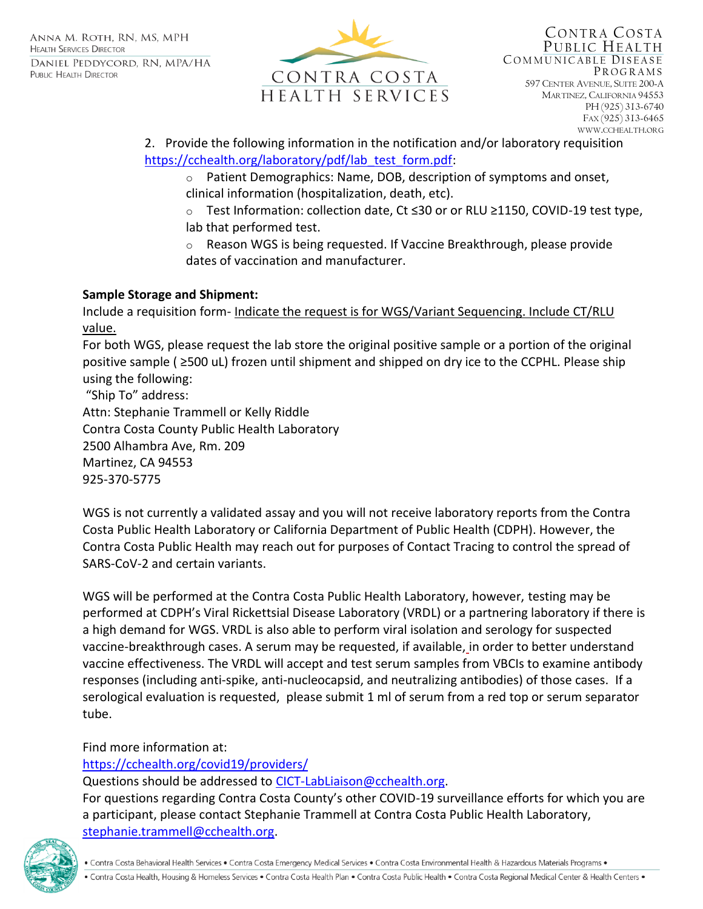

#### 2. Provide the following information in the notification and/or laboratory requisition [https://cchealth.org/laboratory/pdf/lab\\_test\\_form.pdf:](https://cchealth.org/laboratory/pdf/lab_test_form.pdf)

- o Patient Demographics: Name, DOB, description of symptoms and onset, clinical information (hospitalization, death, etc).
- o Test Information: collection date, Ct ≤30 or or RLU ≥1150, COVID-19 test type, lab that performed test.
- o Reason WGS is being requested. If Vaccine Breakthrough, please provide dates of vaccination and manufacturer.

# **Sample Storage and Shipment:**

Include a requisition form- Indicate the request is for WGS/Variant Sequencing. Include CT/RLU value.

For both WGS, please request the lab store the original positive sample or a portion of the original positive sample ( ≥500 uL) frozen until shipment and shipped on dry ice to the CCPHL. Please ship using the following:

"Ship To" address: Attn: Stephanie Trammell or Kelly Riddle Contra Costa County Public Health Laboratory 2500 Alhambra Ave, Rm. 209 Martinez, CA 94553 925-370-5775

WGS is not currently a validated assay and you will not receive laboratory reports from the Contra Costa Public Health Laboratory or California Department of Public Health (CDPH). However, the Contra Costa Public Health may reach out for purposes of Contact Tracing to control the spread of SARS-CoV-2 and certain variants.

WGS will be performed at the Contra Costa Public Health Laboratory, however, testing may be performed at CDPH's Viral Rickettsial Disease Laboratory (VRDL) or a partnering laboratory if there is a high demand for WGS. VRDL is also able to perform viral isolation and serology for suspected vaccine-breakthrough cases. A serum may be requested, if available, in order to better understand vaccine effectiveness. The VRDL will accept and test serum samples from VBCIs to examine antibody responses (including anti-spike, anti-nucleocapsid, and neutralizing antibodies) of those cases. If a serological evaluation is requested, please submit 1 ml of serum from a red top or serum separator tube.

Find more information at:

# <https://cchealth.org/covid19/providers/>

Questions should be addressed to [CICT-LabLiaison@cchealth.org.](mailto:CICT-LabLiaison@cchealth.org)

For questions regarding Contra Costa County's other COVID-19 surveillance efforts for which you are a participant, please contact Stephanie Trammell at Contra Costa Public Health Laboratory, [stephanie.trammell@cchealth.org.](mailto:stephanie.trammell@cchealth.org)